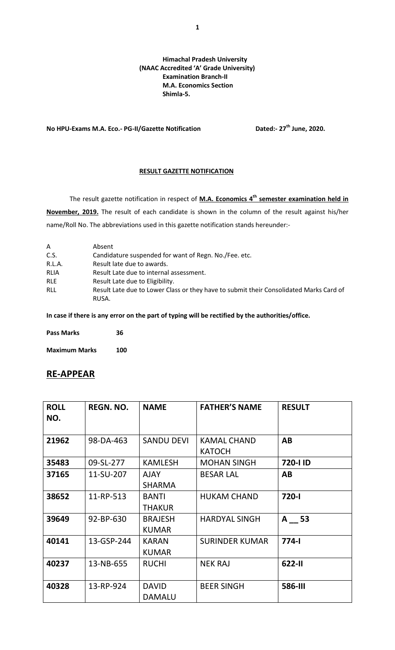## **Himachal Pradesh University (NAAC Accredited 'A' Grade University) Examination Branch-II M.A. Economics Section Shimla-5.**

**No HPU-Exams M.A. Eco.- PG-II/Gazette Notification Dated:- 27th June, 2020.**

## **RESULT GAZETTE NOTIFICATION**

The result gazette notification in respect of **M.A. Economics 4th semester examination held in November, 2019.** The result of each candidate is shown in the column of the result against his/her name/Roll No. The abbreviations used in this gazette notification stands hereunder:-

| A           | Absent                                                                                          |
|-------------|-------------------------------------------------------------------------------------------------|
| C.S.        | Candidature suspended for want of Regn. No. / Fee. etc.                                         |
| R.L.A.      | Result late due to awards.                                                                      |
| <b>RLIA</b> | Result Late due to internal assessment.                                                         |
| <b>RLE</b>  | Result Late due to Eligibility.                                                                 |
| <b>RLL</b>  | Result Late due to Lower Class or they have to submit their Consolidated Marks Card of<br>RUSA. |

**In case if there is any error on the part of typing will be rectified by the authorities/office.**

| <b>Pass Marks</b> | 36 |
|-------------------|----|
|                   |    |

**Maximum Marks 100**

## **RE-APPEAR**

| <b>ROLL</b><br>NO. | <b>REGN. NO.</b> | <b>NAME</b>                    | <b>FATHER'S NAME</b>                | <b>RESULT</b>  |
|--------------------|------------------|--------------------------------|-------------------------------------|----------------|
| 21962              | 98-DA-463        | <b>SANDU DEVI</b>              | <b>KAMAL CHAND</b><br><b>KATOCH</b> | AB             |
| 35483              | 09-SL-277        | <b>KAMLESH</b>                 | <b>MOHAN SINGH</b>                  | 720-I ID       |
| 37165              | 11-SU-207        | <b>AJAY</b><br><b>SHARMA</b>   | <b>BESAR LAL</b>                    | AB             |
| 38652              | 11-RP-513        | <b>BANTI</b><br><b>THAKUR</b>  | <b>HUKAM CHAND</b>                  | 720-l          |
| 39649              | 92-BP-630        | <b>BRAJESH</b><br><b>KUMAR</b> | <b>HARDYAL SINGH</b>                | $A = 53$       |
| 40141              | 13-GSP-244       | <b>KARAN</b><br><b>KUMAR</b>   | <b>SURINDER KUMAR</b>               | $774-1$        |
| 40237              | 13-NB-655        | <b>RUCHI</b>                   | <b>NEK RAJ</b>                      | 622-II         |
| 40328              | 13-RP-924        | <b>DAVID</b><br><b>DAMALU</b>  | <b>BEER SINGH</b>                   | <b>586-III</b> |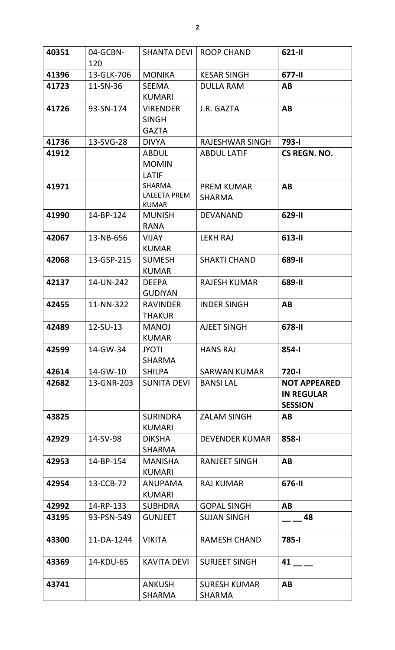| 40351 | 04-GCBN-<br>120 | <b>SHANTA DEVI</b>                                   | <b>ROOP CHAND</b>                    | 621-II                                                     |
|-------|-----------------|------------------------------------------------------|--------------------------------------|------------------------------------------------------------|
| 41396 | 13-GLK-706      | <b>MONIKA</b>                                        | <b>KESAR SINGH</b>                   | 677-II                                                     |
| 41723 | 11-SN-36        | <b>SEEMA</b><br><b>KUMARI</b>                        | <b>DULLA RAM</b>                     | AB                                                         |
| 41726 | 93-SN-174       | <b>VIRENDER</b><br><b>SINGH</b><br><b>GAZTA</b>      | J.R. GAZTA                           | <b>AB</b>                                                  |
| 41736 | 13-SVG-28       | <b>DIVYA</b>                                         | <b>RAJESHWAR SINGH</b>               | 793-l                                                      |
| 41912 |                 | <b>ABDUL</b><br><b>MOMIN</b><br><b>LATIF</b>         | <b>ABDUL LATIF</b>                   | CS REGN. NO.                                               |
| 41971 |                 | <b>SHARMA</b><br><b>LALEETA PREM</b><br><b>KUMAR</b> | <b>PREM KUMAR</b><br><b>SHARMA</b>   | AB                                                         |
| 41990 | 14-BP-124       | <b>MUNISH</b><br><b>RANA</b>                         | <b>DEVANAND</b>                      | 629-II                                                     |
| 42067 | 13-NB-656       | <b>VIJAY</b><br><b>KUMAR</b>                         | <b>LEKH RAJ</b>                      | 613-II                                                     |
| 42068 | 13-GSP-215      | <b>SUMESH</b><br><b>KUMAR</b>                        | <b>SHAKTI CHAND</b>                  | 689-II                                                     |
| 42137 | 14-UN-242       | <b>DEEPA</b><br><b>GUDIYAN</b>                       | <b>RAJESH KUMAR</b>                  | 689-II                                                     |
| 42455 | 11-NN-322       | <b>RAVINDER</b><br><b>THAKUR</b>                     | <b>INDER SINGH</b>                   | AB                                                         |
| 42489 | 12-SU-13        | <b>MANOJ</b><br><b>KUMAR</b>                         | <b>AJEET SINGH</b>                   | 678-II                                                     |
| 42599 | 14-GW-34        | <b>JYOTI</b><br><b>SHARMA</b>                        | <b>HANS RAJ</b>                      | $854 - 1$                                                  |
| 42614 | 14-GW-10        | <b>SHILPA</b>                                        | <b>SARWAN KUMAR</b>                  | 720-l                                                      |
| 42682 | 13-GNR-203      | <b>SUNITA DEVI</b>                                   | <b>BANSILAL</b>                      | <b>NOT APPEARED</b><br><b>IN REGULAR</b><br><b>SESSION</b> |
| 43825 |                 | <b>SURINDRA</b><br><b>KUMARI</b>                     | <b>ZALAM SINGH</b>                   | AB                                                         |
| 42929 | 14-SV-98        | <b>DIKSHA</b><br><b>SHARMA</b>                       | <b>DEVENDER KUMAR</b>                | 858-I                                                      |
| 42953 | 14-BP-154       | <b>MANISHA</b><br><b>KUMARI</b>                      | <b>RANJEET SINGH</b>                 | AB                                                         |
| 42954 | 13-CCB-72       | <b>ANUPAMA</b><br><b>KUMARI</b>                      | <b>RAJ KUMAR</b>                     | 676-II                                                     |
| 42992 | 14-RP-133       | <b>SUBHDRA</b>                                       | <b>GOPAL SINGH</b>                   | AB                                                         |
| 43195 | 93-PSN-549      | <b>GUNJEET</b>                                       | <b>SUJAN SINGH</b>                   | 48                                                         |
| 43300 | 11-DA-1244      | <b>VIKITA</b>                                        | <b>RAMESH CHAND</b>                  | 785-I                                                      |
| 43369 | 14-KDU-65       | <b>KAVITA DEVI</b>                                   | <b>SURJEET SINGH</b>                 | 41                                                         |
| 43741 |                 | <b>ANKUSH</b><br><b>SHARMA</b>                       | <b>SURESH KUMAR</b><br><b>SHARMA</b> | AB                                                         |